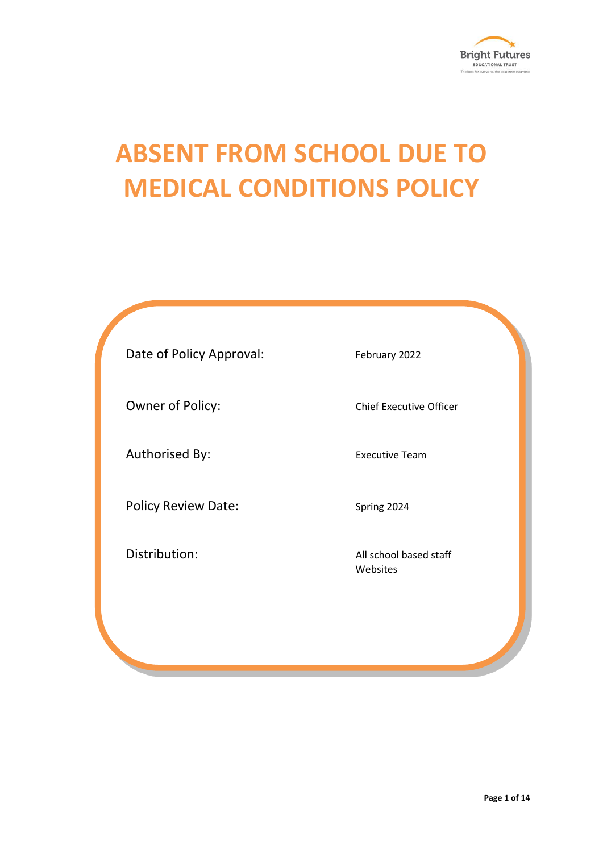

# **ABSENT FROM SCHOOL DUE TO MEDICAL CONDITIONS POLICY**

Date of Policy Approval: February 2022 Owner of Policy: Chief Executive Officer Authorised By: Executive Team Policy Review Date: Spring 2024 Distribution: and the control of the All school based staff Websites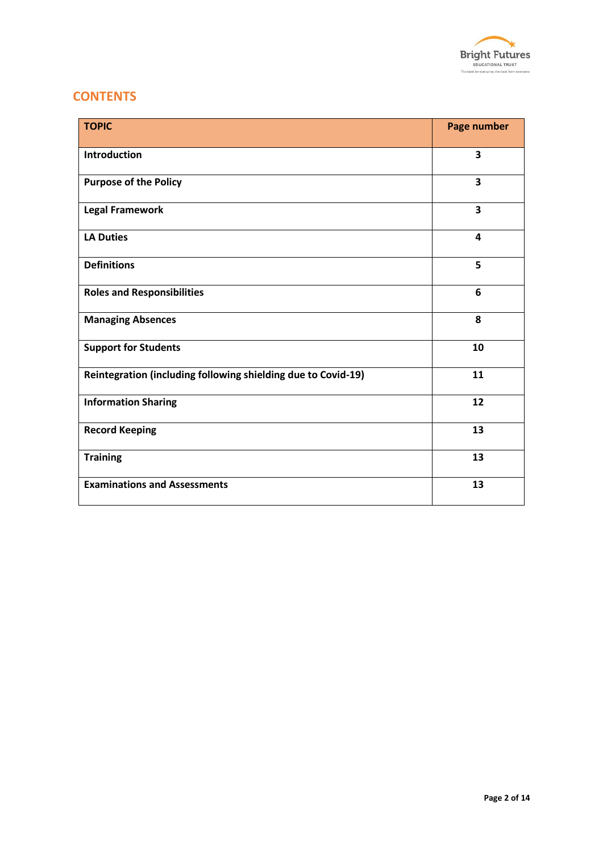

# **CONTENTS**

| <b>TOPIC</b>                                                  | <b>Page number</b> |
|---------------------------------------------------------------|--------------------|
| Introduction                                                  | 3                  |
| <b>Purpose of the Policy</b>                                  | 3                  |
| <b>Legal Framework</b>                                        | 3                  |
| <b>LA Duties</b>                                              | 4                  |
| <b>Definitions</b>                                            | 5                  |
| <b>Roles and Responsibilities</b>                             | 6                  |
| <b>Managing Absences</b>                                      | 8                  |
| <b>Support for Students</b>                                   | 10                 |
| Reintegration (including following shielding due to Covid-19) | 11                 |
| <b>Information Sharing</b>                                    | 12                 |
| <b>Record Keeping</b>                                         | 13                 |
| <b>Training</b>                                               | 13                 |
| <b>Examinations and Assessments</b>                           | 13                 |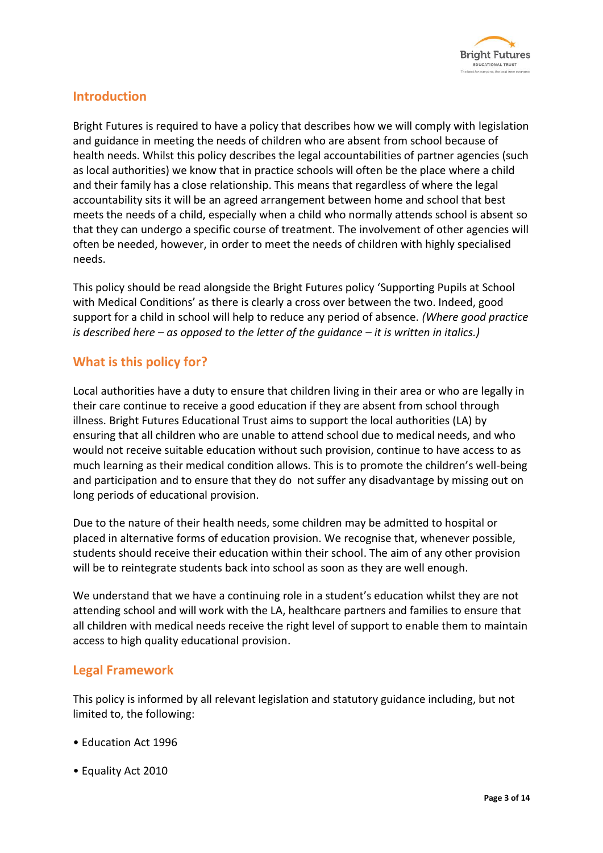

## **Introduction**

Bright Futures is required to have a policy that describes how we will comply with legislation and guidance in meeting the needs of children who are absent from school because of health needs. Whilst this policy describes the legal accountabilities of partner agencies (such as local authorities) we know that in practice schools will often be the place where a child and their family has a close relationship. This means that regardless of where the legal accountability sits it will be an agreed arrangement between home and school that best meets the needs of a child, especially when a child who normally attends school is absent so that they can undergo a specific course of treatment. The involvement of other agencies will often be needed, however, in order to meet the needs of children with highly specialised needs.

This policy should be read alongside the Bright Futures policy 'Supporting Pupils at School with Medical Conditions' as there is clearly a cross over between the two. Indeed, good support for a child in school will help to reduce any period of absence. *(Where good practice is described here – as opposed to the letter of the guidance – it is written in italics.)*

# **What is this policy for?**

Local authorities have a duty to ensure that children living in their area or who are legally in their care continue to receive a good education if they are absent from school through illness. Bright Futures Educational Trust aims to support the local authorities (LA) by ensuring that all children who are unable to attend school due to medical needs, and who would not receive suitable education without such provision, continue to have access to as much learning as their medical condition allows. This is to promote the children's well-being and participation and to ensure that they do not suffer any disadvantage by missing out on long periods of educational provision.

Due to the nature of their health needs, some children may be admitted to hospital or placed in alternative forms of education provision. We recognise that, whenever possible, students should receive their education within their school. The aim of any other provision will be to reintegrate students back into school as soon as they are well enough.

We understand that we have a continuing role in a student's education whilst they are not attending school and will work with the LA, healthcare partners and families to ensure that all children with medical needs receive the right level of support to enable them to maintain access to high quality educational provision.

#### **Legal Framework**

This policy is informed by all relevant legislation and statutory guidance including, but not limited to, the following:

- Education Act 1996
- Equality Act 2010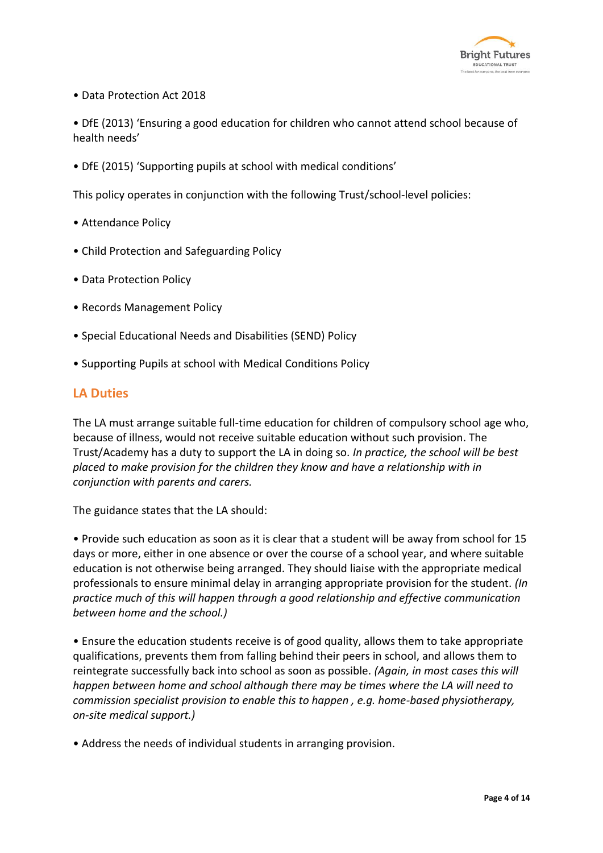

- Data Protection Act 2018
- DfE (2013) 'Ensuring a good education for children who cannot attend school because of health needs'
- DfE (2015) 'Supporting pupils at school with medical conditions'

This policy operates in conjunction with the following Trust/school-level policies:

- Attendance Policy
- Child Protection and Safeguarding Policy
- Data Protection Policy
- Records Management Policy
- Special Educational Needs and Disabilities (SEND) Policy
- Supporting Pupils at school with Medical Conditions Policy

#### **LA Duties**

The LA must arrange suitable full-time education for children of compulsory school age who, because of illness, would not receive suitable education without such provision. The Trust/Academy has a duty to support the LA in doing so. *In practice, the school will be best placed to make provision for the children they know and have a relationship with in conjunction with parents and carers.*

The guidance states that the LA should:

• Provide such education as soon as it is clear that a student will be away from school for 15 days or more, either in one absence or over the course of a school year, and where suitable education is not otherwise being arranged. They should liaise with the appropriate medical professionals to ensure minimal delay in arranging appropriate provision for the student. *(In practice much of this will happen through a good relationship and effective communication between home and the school.)*

• Ensure the education students receive is of good quality, allows them to take appropriate qualifications, prevents them from falling behind their peers in school, and allows them to reintegrate successfully back into school as soon as possible. *(Again, in most cases this will happen between home and school although there may be times where the LA will need to commission specialist provision to enable this to happen , e.g. home-based physiotherapy, on-site medical support.)*

• Address the needs of individual students in arranging provision.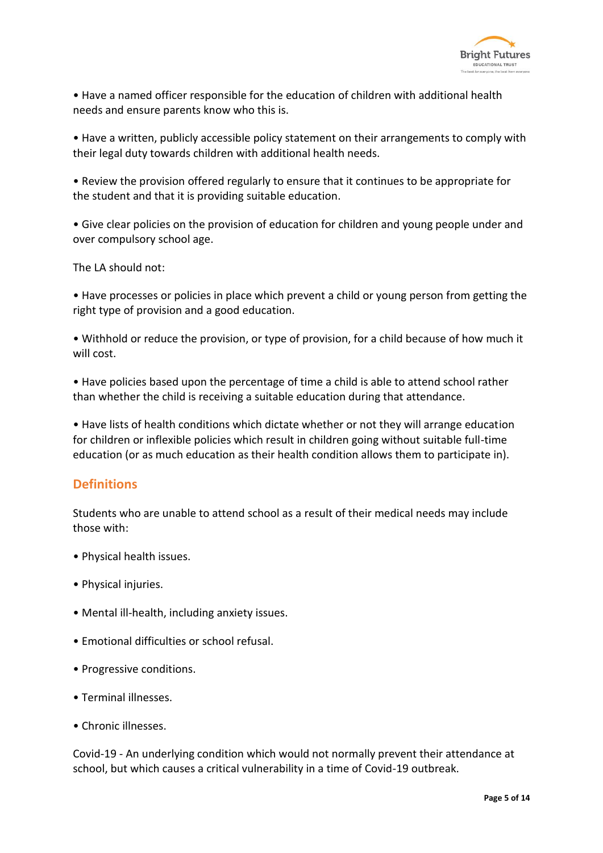

• Have a named officer responsible for the education of children with additional health needs and ensure parents know who this is.

• Have a written, publicly accessible policy statement on their arrangements to comply with their legal duty towards children with additional health needs.

• Review the provision offered regularly to ensure that it continues to be appropriate for the student and that it is providing suitable education.

• Give clear policies on the provision of education for children and young people under and over compulsory school age.

The LA should not:

• Have processes or policies in place which prevent a child or young person from getting the right type of provision and a good education.

• Withhold or reduce the provision, or type of provision, for a child because of how much it will cost

• Have policies based upon the percentage of time a child is able to attend school rather than whether the child is receiving a suitable education during that attendance.

• Have lists of health conditions which dictate whether or not they will arrange education for children or inflexible policies which result in children going without suitable full-time education (or as much education as their health condition allows them to participate in).

#### **Definitions**

Students who are unable to attend school as a result of their medical needs may include those with:

- Physical health issues.
- Physical injuries.
- Mental ill-health, including anxiety issues.
- Emotional difficulties or school refusal.
- Progressive conditions.
- Terminal illnesses.
- Chronic illnesses.

Covid-19 - An underlying condition which would not normally prevent their attendance at school, but which causes a critical vulnerability in a time of Covid-19 outbreak.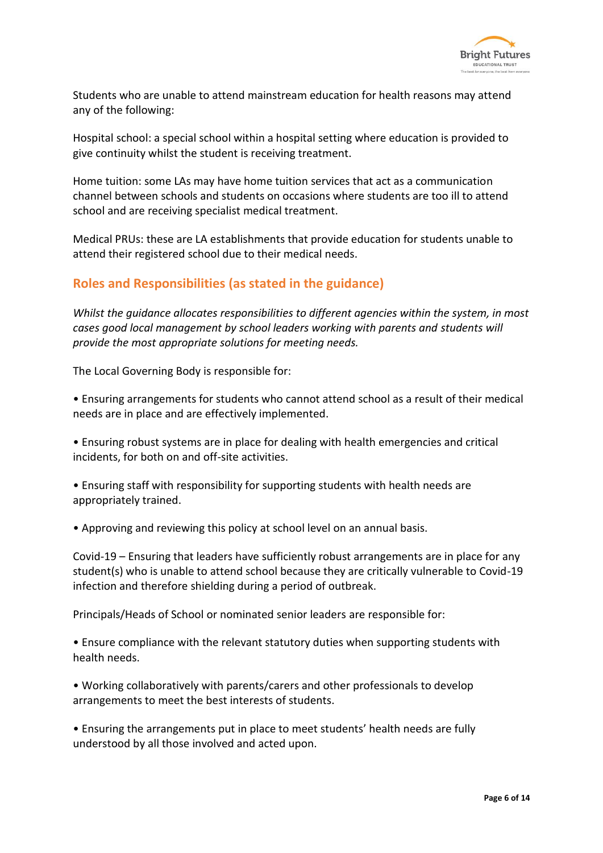

Students who are unable to attend mainstream education for health reasons may attend any of the following:

Hospital school: a special school within a hospital setting where education is provided to give continuity whilst the student is receiving treatment.

Home tuition: some LAs may have home tuition services that act as a communication channel between schools and students on occasions where students are too ill to attend school and are receiving specialist medical treatment.

Medical PRUs: these are LA establishments that provide education for students unable to attend their registered school due to their medical needs.

## **Roles and Responsibilities (as stated in the guidance)**

*Whilst the guidance allocates responsibilities to different agencies within the system, in most cases good local management by school leaders working with parents and students will provide the most appropriate solutions for meeting needs.*

The Local Governing Body is responsible for:

• Ensuring arrangements for students who cannot attend school as a result of their medical needs are in place and are effectively implemented.

• Ensuring robust systems are in place for dealing with health emergencies and critical incidents, for both on and off-site activities.

• Ensuring staff with responsibility for supporting students with health needs are appropriately trained.

• Approving and reviewing this policy at school level on an annual basis.

Covid-19 – Ensuring that leaders have sufficiently robust arrangements are in place for any student(s) who is unable to attend school because they are critically vulnerable to Covid-19 infection and therefore shielding during a period of outbreak.

Principals/Heads of School or nominated senior leaders are responsible for:

• Ensure compliance with the relevant statutory duties when supporting students with health needs.

• Working collaboratively with parents/carers and other professionals to develop arrangements to meet the best interests of students.

• Ensuring the arrangements put in place to meet students' health needs are fully understood by all those involved and acted upon.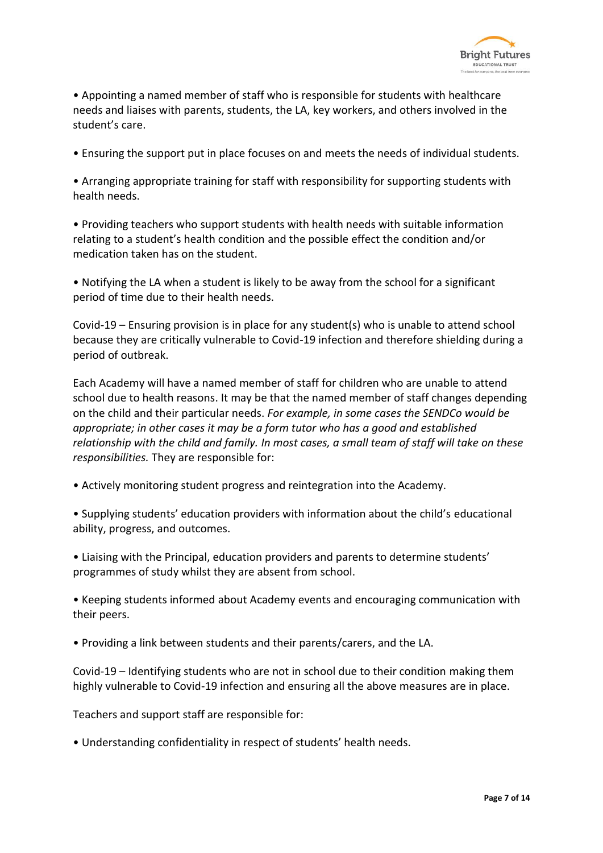

• Appointing a named member of staff who is responsible for students with healthcare needs and liaises with parents, students, the LA, key workers, and others involved in the student's care.

• Ensuring the support put in place focuses on and meets the needs of individual students.

• Arranging appropriate training for staff with responsibility for supporting students with health needs.

• Providing teachers who support students with health needs with suitable information relating to a student's health condition and the possible effect the condition and/or medication taken has on the student.

• Notifying the LA when a student is likely to be away from the school for a significant period of time due to their health needs.

Covid-19 – Ensuring provision is in place for any student(s) who is unable to attend school because they are critically vulnerable to Covid-19 infection and therefore shielding during a period of outbreak.

Each Academy will have a named member of staff for children who are unable to attend school due to health reasons. It may be that the named member of staff changes depending on the child and their particular needs. *For example, in some cases the SENDCo would be appropriate; in other cases it may be a form tutor who has a good and established relationship with the child and family. In most cases, a small team of staff will take on these responsibilities.* They are responsible for:

- Actively monitoring student progress and reintegration into the Academy.
- Supplying students' education providers with information about the child's educational ability, progress, and outcomes.
- Liaising with the Principal, education providers and parents to determine students' programmes of study whilst they are absent from school.

• Keeping students informed about Academy events and encouraging communication with their peers.

• Providing a link between students and their parents/carers, and the LA.

Covid-19 – Identifying students who are not in school due to their condition making them highly vulnerable to Covid-19 infection and ensuring all the above measures are in place.

Teachers and support staff are responsible for:

• Understanding confidentiality in respect of students' health needs.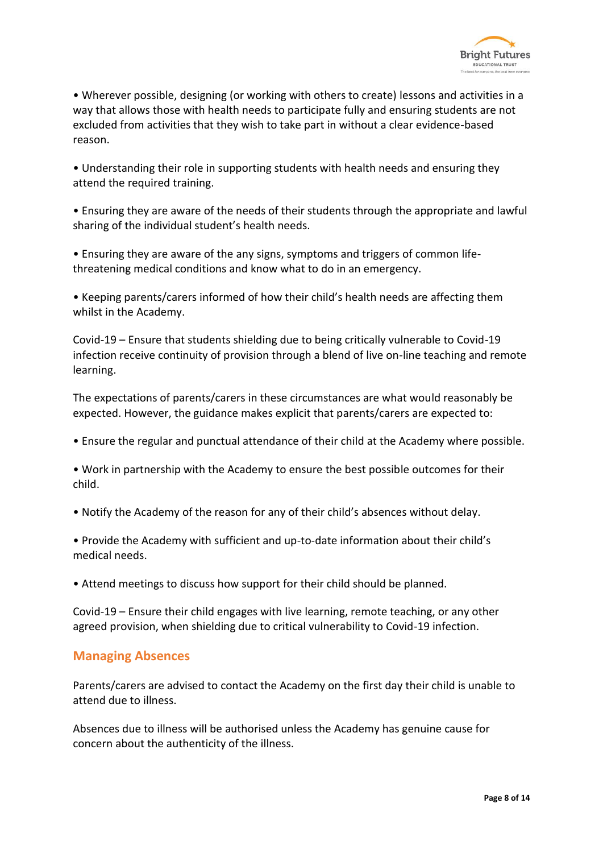

• Wherever possible, designing (or working with others to create) lessons and activities in a way that allows those with health needs to participate fully and ensuring students are not excluded from activities that they wish to take part in without a clear evidence-based reason.

• Understanding their role in supporting students with health needs and ensuring they attend the required training.

• Ensuring they are aware of the needs of their students through the appropriate and lawful sharing of the individual student's health needs.

• Ensuring they are aware of the any signs, symptoms and triggers of common lifethreatening medical conditions and know what to do in an emergency.

• Keeping parents/carers informed of how their child's health needs are affecting them whilst in the Academy.

Covid-19 – Ensure that students shielding due to being critically vulnerable to Covid-19 infection receive continuity of provision through a blend of live on-line teaching and remote learning.

The expectations of parents/carers in these circumstances are what would reasonably be expected. However, the guidance makes explicit that parents/carers are expected to:

• Ensure the regular and punctual attendance of their child at the Academy where possible.

• Work in partnership with the Academy to ensure the best possible outcomes for their child.

• Notify the Academy of the reason for any of their child's absences without delay.

• Provide the Academy with sufficient and up-to-date information about their child's medical needs.

• Attend meetings to discuss how support for their child should be planned.

Covid-19 – Ensure their child engages with live learning, remote teaching, or any other agreed provision, when shielding due to critical vulnerability to Covid-19 infection.

#### **Managing Absences**

Parents/carers are advised to contact the Academy on the first day their child is unable to attend due to illness.

Absences due to illness will be authorised unless the Academy has genuine cause for concern about the authenticity of the illness.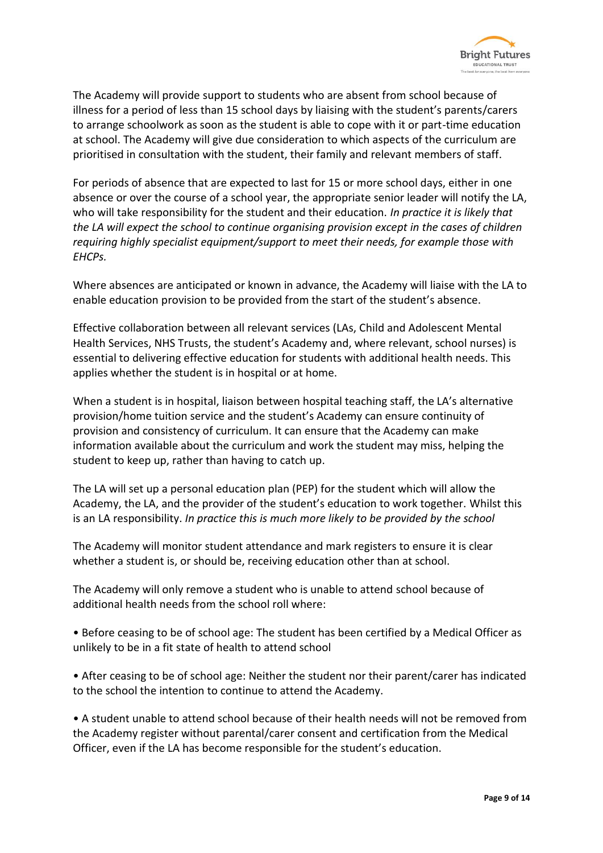

The Academy will provide support to students who are absent from school because of illness for a period of less than 15 school days by liaising with the student's parents/carers to arrange schoolwork as soon as the student is able to cope with it or part-time education at school. The Academy will give due consideration to which aspects of the curriculum are prioritised in consultation with the student, their family and relevant members of staff.

For periods of absence that are expected to last for 15 or more school days, either in one absence or over the course of a school year, the appropriate senior leader will notify the LA, who will take responsibility for the student and their education. *In practice it is likely that the LA will expect the school to continue organising provision except in the cases of children requiring highly specialist equipment/support to meet their needs, for example those with EHCPs.*

Where absences are anticipated or known in advance, the Academy will liaise with the LA to enable education provision to be provided from the start of the student's absence.

Effective collaboration between all relevant services (LAs, Child and Adolescent Mental Health Services, NHS Trusts, the student's Academy and, where relevant, school nurses) is essential to delivering effective education for students with additional health needs. This applies whether the student is in hospital or at home.

When a student is in hospital, liaison between hospital teaching staff, the LA's alternative provision/home tuition service and the student's Academy can ensure continuity of provision and consistency of curriculum. It can ensure that the Academy can make information available about the curriculum and work the student may miss, helping the student to keep up, rather than having to catch up.

The LA will set up a personal education plan (PEP) for the student which will allow the Academy, the LA, and the provider of the student's education to work together. Whilst this is an LA responsibility. *In practice this is much more likely to be provided by the school*

The Academy will monitor student attendance and mark registers to ensure it is clear whether a student is, or should be, receiving education other than at school.

The Academy will only remove a student who is unable to attend school because of additional health needs from the school roll where:

• Before ceasing to be of school age: The student has been certified by a Medical Officer as unlikely to be in a fit state of health to attend school

• After ceasing to be of school age: Neither the student nor their parent/carer has indicated to the school the intention to continue to attend the Academy.

• A student unable to attend school because of their health needs will not be removed from the Academy register without parental/carer consent and certification from the Medical Officer, even if the LA has become responsible for the student's education.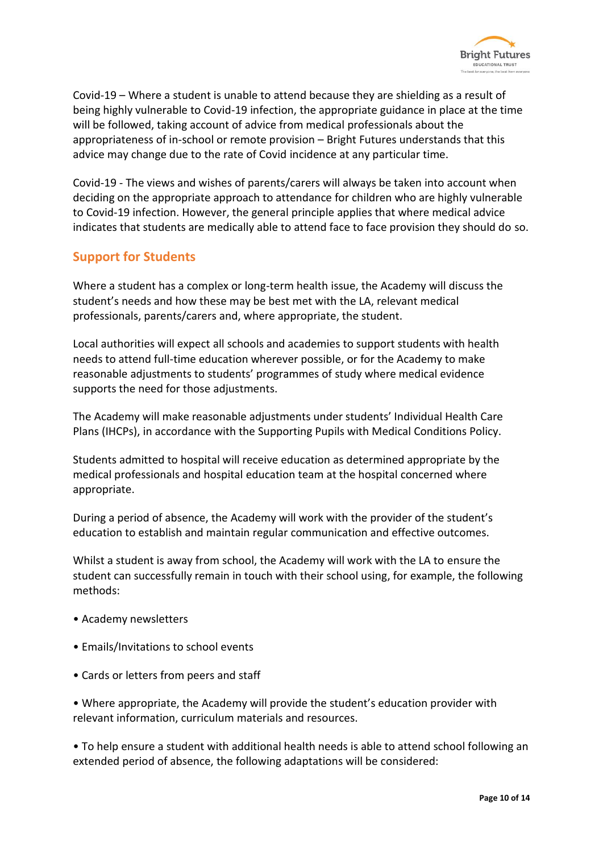

Covid-19 – Where a student is unable to attend because they are shielding as a result of being highly vulnerable to Covid-19 infection, the appropriate guidance in place at the time will be followed, taking account of advice from medical professionals about the appropriateness of in-school or remote provision – Bright Futures understands that this advice may change due to the rate of Covid incidence at any particular time.

Covid-19 - The views and wishes of parents/carers will always be taken into account when deciding on the appropriate approach to attendance for children who are highly vulnerable to Covid-19 infection. However, the general principle applies that where medical advice indicates that students are medically able to attend face to face provision they should do so.

## **Support for Students**

Where a student has a complex or long-term health issue, the Academy will discuss the student's needs and how these may be best met with the LA, relevant medical professionals, parents/carers and, where appropriate, the student.

Local authorities will expect all schools and academies to support students with health needs to attend full-time education wherever possible, or for the Academy to make reasonable adjustments to students' programmes of study where medical evidence supports the need for those adjustments.

The Academy will make reasonable adjustments under students' Individual Health Care Plans (IHCPs), in accordance with the Supporting Pupils with Medical Conditions Policy.

Students admitted to hospital will receive education as determined appropriate by the medical professionals and hospital education team at the hospital concerned where appropriate.

During a period of absence, the Academy will work with the provider of the student's education to establish and maintain regular communication and effective outcomes.

Whilst a student is away from school, the Academy will work with the LA to ensure the student can successfully remain in touch with their school using, for example, the following methods:

- Academy newsletters
- Emails/Invitations to school events
- Cards or letters from peers and staff

• Where appropriate, the Academy will provide the student's education provider with relevant information, curriculum materials and resources.

• To help ensure a student with additional health needs is able to attend school following an extended period of absence, the following adaptations will be considered: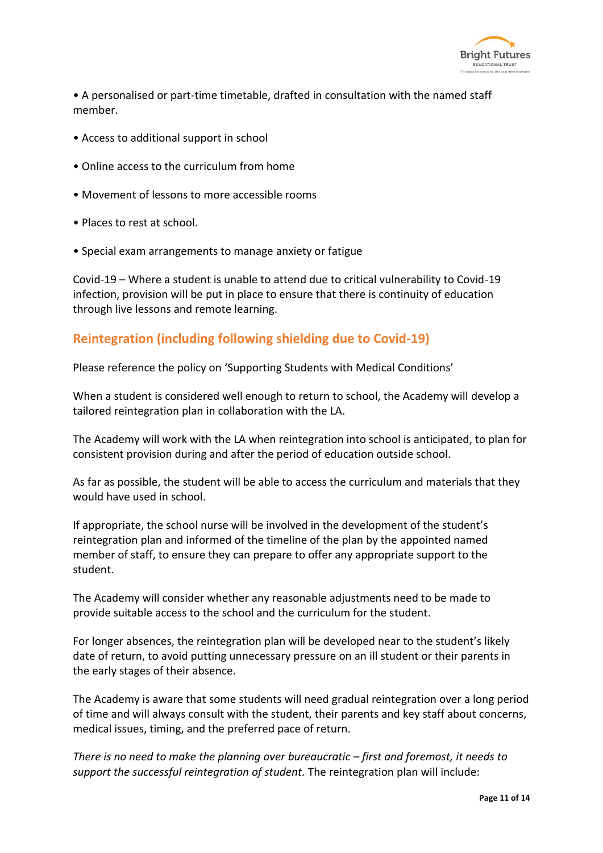

• A personalised or part-time timetable, drafted in consultation with the named staff member.

- Access to additional support in school
- Online access to the curriculum from home
- Movement of lessons to more accessible rooms
- Places to rest at school.
- Special exam arrangements to manage anxiety or fatigue

Covid-19 – Where a student is unable to attend due to critical vulnerability to Covid-19 infection, provision will be put in place to ensure that there is continuity of education through live lessons and remote learning.

## **Reintegration (including following shielding due to Covid-19)**

Please reference the policy on 'Supporting Students with Medical Conditions'

When a student is considered well enough to return to school, the Academy will develop a tailored reintegration plan in collaboration with the LA.

The Academy will work with the LA when reintegration into school is anticipated, to plan for consistent provision during and after the period of education outside school.

As far as possible, the student will be able to access the curriculum and materials that they would have used in school.

If appropriate, the school nurse will be involved in the development of the student's reintegration plan and informed of the timeline of the plan by the appointed named member of staff, to ensure they can prepare to offer any appropriate support to the student.

The Academy will consider whether any reasonable adjustments need to be made to provide suitable access to the school and the curriculum for the student.

For longer absences, the reintegration plan will be developed near to the student's likely date of return, to avoid putting unnecessary pressure on an ill student or their parents in the early stages of their absence.

The Academy is aware that some students will need gradual reintegration over a long period of time and will always consult with the student, their parents and key staff about concerns, medical issues, timing, and the preferred pace of return.

*There is no need to make the planning over bureaucratic – first and foremost, it needs to support the successful reintegration of student.* The reintegration plan will include: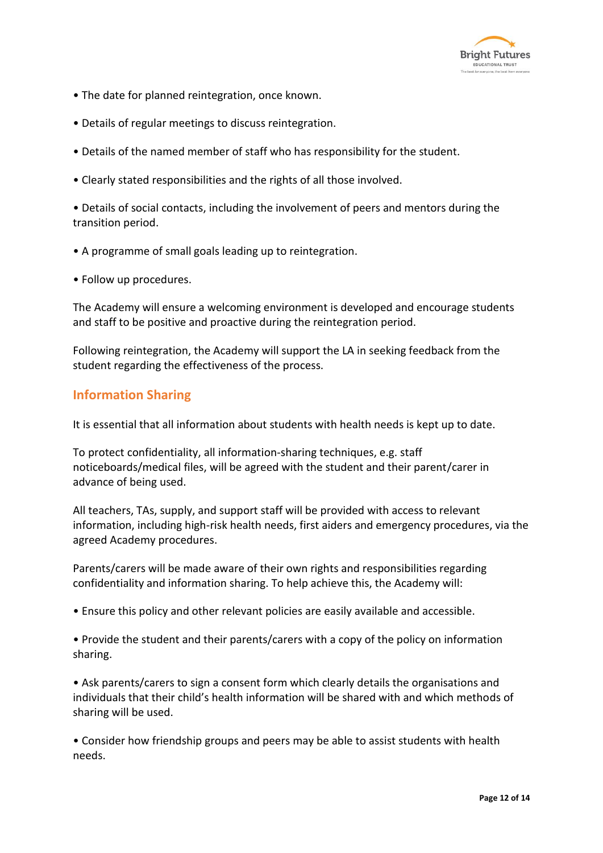

- The date for planned reintegration, once known.
- Details of regular meetings to discuss reintegration.
- Details of the named member of staff who has responsibility for the student.
- Clearly stated responsibilities and the rights of all those involved.

• Details of social contacts, including the involvement of peers and mentors during the transition period.

- A programme of small goals leading up to reintegration.
- Follow up procedures.

The Academy will ensure a welcoming environment is developed and encourage students and staff to be positive and proactive during the reintegration period.

Following reintegration, the Academy will support the LA in seeking feedback from the student regarding the effectiveness of the process.

## **Information Sharing**

It is essential that all information about students with health needs is kept up to date.

To protect confidentiality, all information-sharing techniques, e.g. staff noticeboards/medical files, will be agreed with the student and their parent/carer in advance of being used.

All teachers, TAs, supply, and support staff will be provided with access to relevant information, including high-risk health needs, first aiders and emergency procedures, via the agreed Academy procedures.

Parents/carers will be made aware of their own rights and responsibilities regarding confidentiality and information sharing. To help achieve this, the Academy will:

- Ensure this policy and other relevant policies are easily available and accessible.
- Provide the student and their parents/carers with a copy of the policy on information sharing.

• Ask parents/carers to sign a consent form which clearly details the organisations and individuals that their child's health information will be shared with and which methods of sharing will be used.

• Consider how friendship groups and peers may be able to assist students with health needs.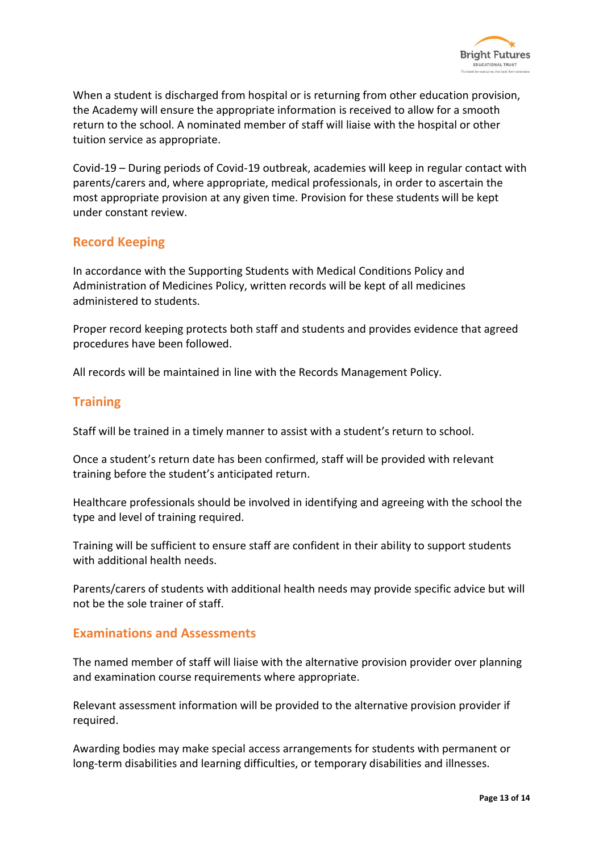

When a student is discharged from hospital or is returning from other education provision, the Academy will ensure the appropriate information is received to allow for a smooth return to the school. A nominated member of staff will liaise with the hospital or other tuition service as appropriate.

Covid-19 – During periods of Covid-19 outbreak, academies will keep in regular contact with parents/carers and, where appropriate, medical professionals, in order to ascertain the most appropriate provision at any given time. Provision for these students will be kept under constant review.

## **Record Keeping**

In accordance with the Supporting Students with Medical Conditions Policy and Administration of Medicines Policy, written records will be kept of all medicines administered to students.

Proper record keeping protects both staff and students and provides evidence that agreed procedures have been followed.

All records will be maintained in line with the Records Management Policy.

## **Training**

Staff will be trained in a timely manner to assist with a student's return to school.

Once a student's return date has been confirmed, staff will be provided with relevant training before the student's anticipated return.

Healthcare professionals should be involved in identifying and agreeing with the school the type and level of training required.

Training will be sufficient to ensure staff are confident in their ability to support students with additional health needs.

Parents/carers of students with additional health needs may provide specific advice but will not be the sole trainer of staff.

#### **Examinations and Assessments**

The named member of staff will liaise with the alternative provision provider over planning and examination course requirements where appropriate.

Relevant assessment information will be provided to the alternative provision provider if required.

Awarding bodies may make special access arrangements for students with permanent or long-term disabilities and learning difficulties, or temporary disabilities and illnesses.